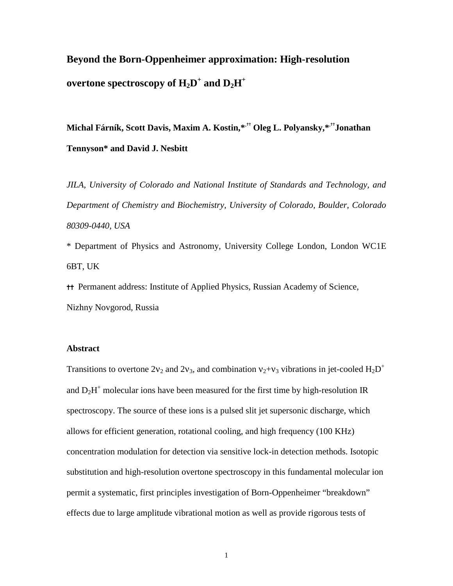# **Beyond the Born-Oppenheimer approximation: High-resolution**   $\mathbf{o}$  vertone spectroscopy of  $\mathbf{H}_{2}\mathbf{D}^{+}$  and  $\mathbf{D}_{2}\mathbf{H}^{+}$

**Michal Fárník, Scott Davis, Maxim A. Kostin,\***,✝✝ **Oleg L. Polyansky,\***,✝✝**Jonathan Tennyson\* and David J. Nesbitt** 

*JILA, University of Colorado and National Institute of Standards and Technology, and Department of Chemistry and Biochemistry, University of Colorado, Boulder, Colorado 80309-0440, USA* 

\* Department of Physics and Astronomy, University College London, London WC1E 6BT, UK

✝✝ Permanent address: Institute of Applied Physics, Russian Academy of Science, Nizhny Novgorod, Russia

### **Abstract**

Transitions to overtone  $2v_2$  and  $2v_3$ , and combination  $v_2 + v_3$  vibrations in jet-cooled H<sub>2</sub>D<sup>+</sup> and  $D_2H^+$  molecular ions have been measured for the first time by high-resolution IR spectroscopy. The source of these ions is a pulsed slit jet supersonic discharge, which allows for efficient generation, rotational cooling, and high frequency (100 KHz) concentration modulation for detection via sensitive lock-in detection methods. Isotopic substitution and high-resolution overtone spectroscopy in this fundamental molecular ion permit a systematic, first principles investigation of Born-Oppenheimer "breakdown" effects due to large amplitude vibrational motion as well as provide rigorous tests of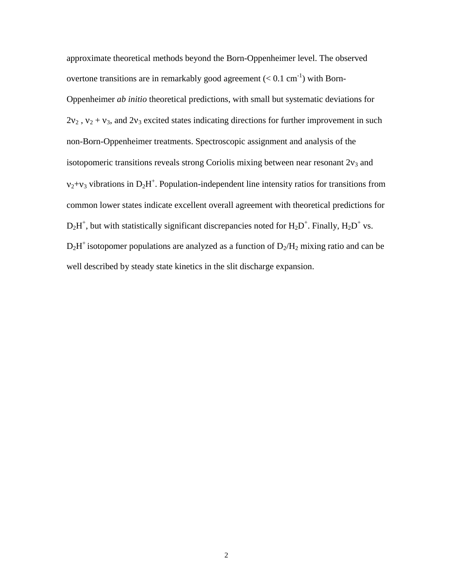approximate theoretical methods beyond the Born-Oppenheimer level. The observed overtone transitions are in remarkably good agreement  $(< 0.1 \text{ cm}^{-1})$  with Born-Oppenheimer *ab initio* theoretical predictions, with small but systematic deviations for  $2v_2$ ,  $v_2 + v_3$ , and  $2v_3$  excited states indicating directions for further improvement in such non-Born-Oppenheimer treatments. Spectroscopic assignment and analysis of the isotopomeric transitions reveals strong Coriolis mixing between near resonant  $2v_3$  and  $v_2 + v_3$  vibrations in  $D_2H^+$ . Population-independent line intensity ratios for transitions from common lower states indicate excellent overall agreement with theoretical predictions for  $D_2H^+$ , but with statistically significant discrepancies noted for  $H_2D^+$ . Finally,  $H_2D^+$  vs.  $D_2H^+$  isotopomer populations are analyzed as a function of  $D_2/H_2$  mixing ratio and can be well described by steady state kinetics in the slit discharge expansion.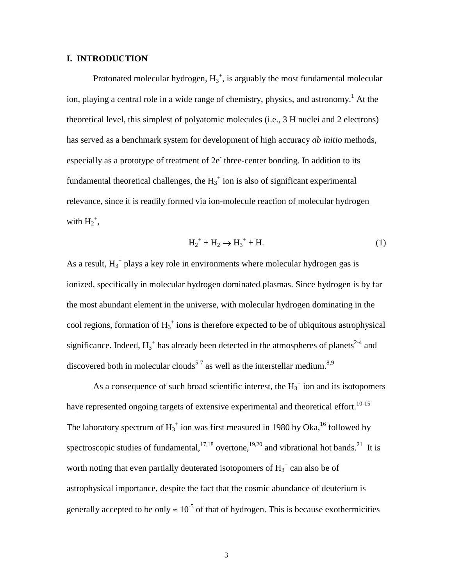### **I. INTRODUCTION**

Protonated molecular hydrogen,  $H_3^+$ , is arguably the most fundamental molecular ion, playing a central role in a wide range of chemistry, physics, and astronomy.<sup>1</sup> At the theoretical level, this simplest of polyatomic molecules (i.e., 3 H nuclei and 2 electrons) has served as a benchmark system for development of high accuracy *ab initio* methods, especially as a prototype of treatment of 2e three-center bonding. In addition to its fundamental theoretical challenges, the  $H_3^+$  ion is also of significant experimental relevance, since it is readily formed via ion-molecule reaction of molecular hydrogen with  $H_2^+$ ,

$$
H_2^+ + H_2 \to H_3^+ + H. \tag{1}
$$

As a result,  $H_3^+$  plays a key role in environments where molecular hydrogen gas is ionized, specifically in molecular hydrogen dominated plasmas. Since hydrogen is by far the most abundant element in the universe, with molecular hydrogen dominating in the cool regions, formation of  $H_3^+$  ions is therefore expected to be of ubiquitous astrophysical significance. Indeed,  $H_3^+$  has already been detected in the atmospheres of planets<sup>2-4</sup> and discovered both in molecular clouds<sup>5-7</sup> as well as the interstellar medium.<sup>8,9</sup>

As a consequence of such broad scientific interest, the  $H_3^+$  ion and its isotopomers have represented ongoing targets of extensive experimental and theoretical effort.<sup>10-15</sup> The laboratory spectrum of  $H_3^+$  ion was first measured in 1980 by Oka, <sup>16</sup> followed by spectroscopic studies of fundamental,  $17,18$  overtone,  $19,20$  and vibrational hot bands.<sup>21</sup> It is worth noting that even partially deuterated isotopomers of  $H_3^+$  can also be of astrophysical importance, despite the fact that the cosmic abundance of deuterium is generally accepted to be only  $\approx 10^{-5}$  of that of hydrogen. This is because exothermicities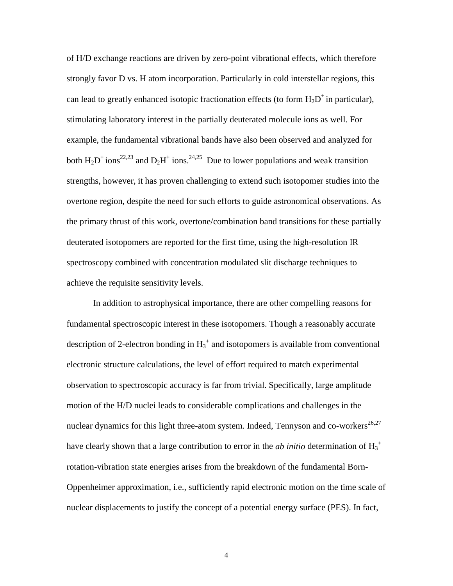of H/D exchange reactions are driven by zero-point vibrational effects, which therefore strongly favor D vs. H atom incorporation. Particularly in cold interstellar regions, this can lead to greatly enhanced isotopic fractionation effects (to form  $H_2D^+$  in particular), stimulating laboratory interest in the partially deuterated molecule ions as well. For example, the fundamental vibrational bands have also been observed and analyzed for both  $H_2D^+$  ions<sup>22,23</sup> and  $D_2H^+$  ions.<sup>24,25</sup> Due to lower populations and weak transition strengths, however, it has proven challenging to extend such isotopomer studies into the overtone region, despite the need for such efforts to guide astronomical observations. As the primary thrust of this work, overtone/combination band transitions for these partially deuterated isotopomers are reported for the first time, using the high-resolution IR spectroscopy combined with concentration modulated slit discharge techniques to achieve the requisite sensitivity levels.

In addition to astrophysical importance, there are other compelling reasons for fundamental spectroscopic interest in these isotopomers. Though a reasonably accurate description of 2-electron bonding in  $H_3^+$  and isotopomers is available from conventional electronic structure calculations, the level of effort required to match experimental observation to spectroscopic accuracy is far from trivial. Specifically, large amplitude motion of the H/D nuclei leads to considerable complications and challenges in the nuclear dynamics for this light three-atom system. Indeed, Tennyson and co-workers<sup>26,27</sup> have clearly shown that a large contribution to error in the *ab initio* determination of H<sub>3</sub><sup>+</sup> rotation-vibration state energies arises from the breakdown of the fundamental Born-Oppenheimer approximation, i.e., sufficiently rapid electronic motion on the time scale of nuclear displacements to justify the concept of a potential energy surface (PES). In fact,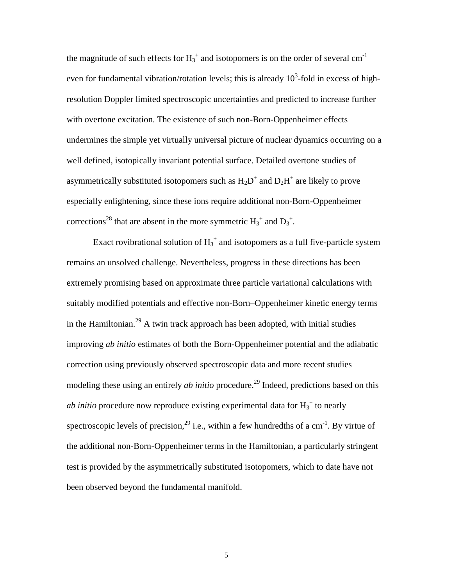the magnitude of such effects for  $H_3^+$  and isotopomers is on the order of several cm<sup>-1</sup> even for fundamental vibration/rotation levels; this is already  $10<sup>3</sup>$ -fold in excess of highresolution Doppler limited spectroscopic uncertainties and predicted to increase further with overtone excitation. The existence of such non-Born-Oppenheimer effects undermines the simple yet virtually universal picture of nuclear dynamics occurring on a well defined, isotopically invariant potential surface. Detailed overtone studies of asymmetrically substituted isotopomers such as  $H_2D^+$  and  $D_2H^+$  are likely to prove especially enlightening, since these ions require additional non-Born-Oppenheimer corrections<sup>28</sup> that are absent in the more symmetric  $H_3^+$  and  $D_3^+$ .

Exact rovibrational solution of  $H_3^+$  and isotopomers as a full five-particle system remains an unsolved challenge. Nevertheless, progress in these directions has been extremely promising based on approximate three particle variational calculations with suitably modified potentials and effective non-Born–Oppenheimer kinetic energy terms in the Hamiltonian.<sup>29</sup> A twin track approach has been adopted, with initial studies improving *ab initio* estimates of both the Born-Oppenheimer potential and the adiabatic correction using previously observed spectroscopic data and more recent studies modeling these using an entirely *ab initio* procedure.<sup>29</sup> Indeed, predictions based on this *ab initio* procedure now reproduce existing experimental data for  $H_3^{\dagger}$  to nearly spectroscopic levels of precision,<sup>29</sup> i.e., within a few hundredths of a cm<sup>-1</sup>. By virtue of the additional non-Born-Oppenheimer terms in the Hamiltonian, a particularly stringent test is provided by the asymmetrically substituted isotopomers, which to date have not been observed beyond the fundamental manifold.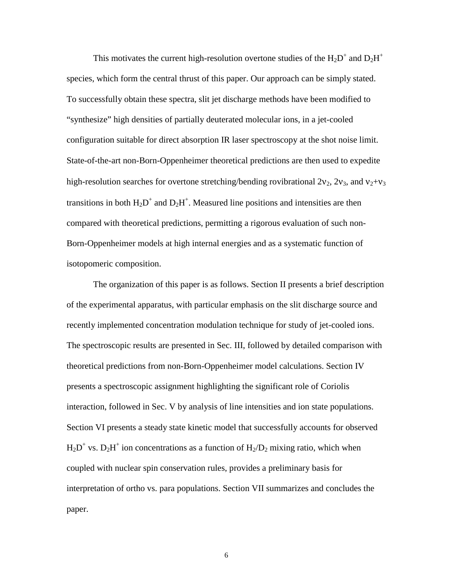This motivates the current high-resolution overtone studies of the  $H_2D^+$  and  $D_2H^+$ species, which form the central thrust of this paper. Our approach can be simply stated. To successfully obtain these spectra, slit jet discharge methods have been modified to "synthesize" high densities of partially deuterated molecular ions, in a jet-cooled configuration suitable for direct absorption IR laser spectroscopy at the shot noise limit. State-of-the-art non-Born-Oppenheimer theoretical predictions are then used to expedite high-resolution searches for overtone stretching/bending rovibrational  $2v_2$ ,  $2v_3$ , and  $v_2+v_3$ transitions in both  $H_2D^+$  and  $D_2H^+$ . Measured line positions and intensities are then compared with theoretical predictions, permitting a rigorous evaluation of such non-Born-Oppenheimer models at high internal energies and as a systematic function of isotopomeric composition.

The organization of this paper is as follows. Section II presents a brief description of the experimental apparatus, with particular emphasis on the slit discharge source and recently implemented concentration modulation technique for study of jet-cooled ions. The spectroscopic results are presented in Sec. III, followed by detailed comparison with theoretical predictions from non-Born-Oppenheimer model calculations. Section IV presents a spectroscopic assignment highlighting the significant role of Coriolis interaction, followed in Sec. V by analysis of line intensities and ion state populations. Section VI presents a steady state kinetic model that successfully accounts for observed  $H_2D^*$  vs.  $D_2H^+$  ion concentrations as a function of  $H_2/D_2$  mixing ratio, which when coupled with nuclear spin conservation rules, provides a preliminary basis for interpretation of ortho vs. para populations. Section VII summarizes and concludes the paper.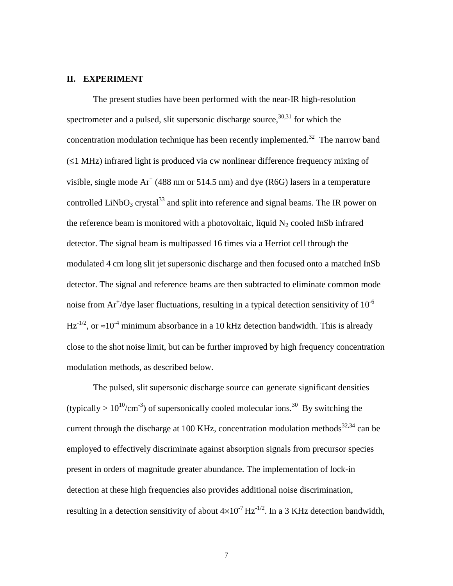### **II. EXPERIMENT**

The present studies have been performed with the near-IR high-resolution spectrometer and a pulsed, slit supersonic discharge source,  $30,31$  for which the concentration modulation technique has been recently implemented.<sup>32</sup> The narrow band (≤1 MHz) infrared light is produced via cw nonlinear difference frequency mixing of visible, single mode  $Ar^+$  (488 nm or 514.5 nm) and dye (R6G) lasers in a temperature controlled LiNbO<sub>3</sub> crystal<sup>33</sup> and split into reference and signal beams. The IR power on the reference beam is monitored with a photovoltaic, liquid  $N_2$  cooled InSb infrared detector. The signal beam is multipassed 16 times via a Herriot cell through the modulated 4 cm long slit jet supersonic discharge and then focused onto a matched InSb detector. The signal and reference beams are then subtracted to eliminate common mode noise from Ar<sup>+</sup>/dye laser fluctuations, resulting in a typical detection sensitivity of  $10^{-6}$  $Hz^{-1/2}$ , or  $\approx 10^{-4}$  minimum absorbance in a 10 kHz detection bandwidth. This is already close to the shot noise limit, but can be further improved by high frequency concentration modulation methods, as described below.

The pulsed, slit supersonic discharge source can generate significant densities (typically  $> 10^{10}/\text{cm}^{-3}$ ) of supersonically cooled molecular ions.<sup>30</sup> By switching the current through the discharge at 100 KHz, concentration modulation methods<sup>32,34</sup> can be employed to effectively discriminate against absorption signals from precursor species present in orders of magnitude greater abundance. The implementation of lock-in detection at these high frequencies also provides additional noise discrimination, resulting in a detection sensitivity of about  $4\times10^{-7}$  Hz<sup>-1/2</sup>. In a 3 KHz detection bandwidth,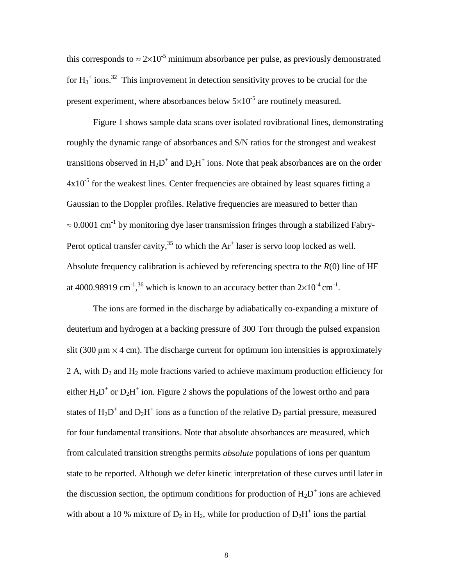this corresponds to  $\approx 2 \times 10^{-5}$  minimum absorbance per pulse, as previously demonstrated for  $H_3^+$  ions.<sup>32</sup> This improvement in detection sensitivity proves to be crucial for the present experiment, where absorbances below  $5\times10^{-5}$  are routinely measured.

Figure 1 shows sample data scans over isolated rovibrational lines, demonstrating roughly the dynamic range of absorbances and S/N ratios for the strongest and weakest transitions observed in  $H_2D^+$  and  $D_2H^+$  ions. Note that peak absorbances are on the order  $4x10^{-5}$  for the weakest lines. Center frequencies are obtained by least squares fitting a Gaussian to the Doppler profiles. Relative frequencies are measured to better than  $\approx 0.0001$  cm<sup>-1</sup> by monitoring dye laser transmission fringes through a stabilized Fabry-Perot optical transfer cavity,<sup>35</sup> to which the  $Ar^+$  laser is servo loop locked as well. Absolute frequency calibration is achieved by referencing spectra to the *R*(0) line of HF at 4000.98919 cm<sup>-1</sup>,<sup>36</sup> which is known to an accuracy better than  $2\times10^{-4}$  cm<sup>-1</sup>.

The ions are formed in the discharge by adiabatically co-expanding a mixture of deuterium and hydrogen at a backing pressure of 300 Torr through the pulsed expansion slit (300  $\mu$ m  $\times$  4 cm). The discharge current for optimum ion intensities is approximately 2 A, with  $D_2$  and  $H_2$  mole fractions varied to achieve maximum production efficiency for either  $H_2D^+$  or  $D_2H^+$  ion. Figure 2 shows the populations of the lowest ortho and para states of  $H_2D^+$  and  $D_2H^+$  ions as a function of the relative  $D_2$  partial pressure, measured for four fundamental transitions. Note that absolute absorbances are measured, which from calculated transition strengths permits *absolute* populations of ions per quantum state to be reported. Although we defer kinetic interpretation of these curves until later in the discussion section, the optimum conditions for production of  $H_2D^+$  ions are achieved with about a 10 % mixture of  $D_2$  in  $H_2$ , while for production of  $D_2H^+$  ions the partial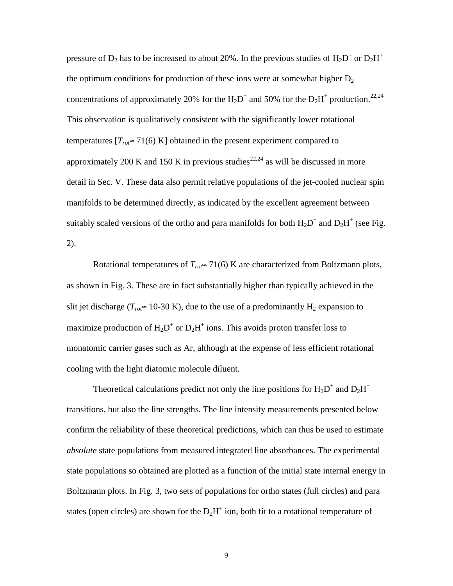pressure of  $D_2$  has to be increased to about 20%. In the previous studies of  $H_2D^+$  or  $D_2H^+$ the optimum conditions for production of these ions were at somewhat higher  $D_2$ concentrations of approximately 20% for the  $H_2D^+$  and 50% for the  $D_2H^+$  production.<sup>22,24</sup> This observation is qualitatively consistent with the significantly lower rotational temperatures  $[T_{\text{rot}} \approx 71(6) \text{ K}]$  obtained in the present experiment compared to approximately 200 K and 150 K in previous studies<sup>22,24</sup> as will be discussed in more detail in Sec. V. These data also permit relative populations of the jet-cooled nuclear spin manifolds to be determined directly, as indicated by the excellent agreement between suitably scaled versions of the ortho and para manifolds for both  $H_2D^+$  and  $D_2H^+$  (see Fig. 2).

Rotational temperatures of  $T_{\text{rot}} \approx 71(6)$  K are characterized from Boltzmann plots, as shown in Fig. 3. These are in fact substantially higher than typically achieved in the slit jet discharge ( $T_{\text{rot}} \approx 10{\text -}30 \text{ K}$ ), due to the use of a predominantly H<sub>2</sub> expansion to maximize production of  $H_2D^+$  or  $D_2H^+$  ions. This avoids proton transfer loss to monatomic carrier gases such as Ar, although at the expense of less efficient rotational cooling with the light diatomic molecule diluent.

Theoretical calculations predict not only the line positions for  $H_2D^+$  and  $D_2H^+$ transitions, but also the line strengths. The line intensity measurements presented below confirm the reliability of these theoretical predictions, which can thus be used to estimate *absolute* state populations from measured integrated line absorbances. The experimental state populations so obtained are plotted as a function of the initial state internal energy in Boltzmann plots. In Fig. 3, two sets of populations for ortho states (full circles) and para states (open circles) are shown for the  $D_2H^+$  ion, both fit to a rotational temperature of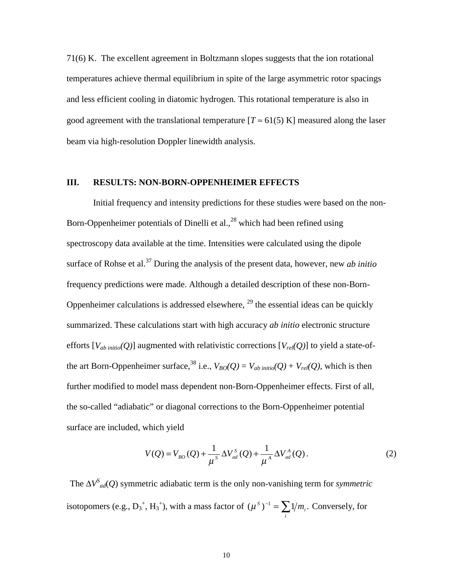71(6) K. The excellent agreement in Boltzmann slopes suggests that the ion rotational temperatures achieve thermal equilibrium in spite of the large asymmetric rotor spacings and less efficient cooling in diatomic hydrogen. This rotational temperature is also in good agreement with the translational temperature  $[T \approx 61(5) \text{ K}]$  measured along the laser beam via high-resolution Doppler linewidth analysis.

### **III. RESULTS: NON-BORN-OPPENHEIMER EFFECTS**

Initial frequency and intensity predictions for these studies were based on the non-Born-Oppenheimer potentials of Dinelli et al.,  $^{28}$  which had been refined using spectroscopy data available at the time. Intensities were calculated using the dipole surface of Rohse et al.37 During the analysis of the present data, however, new *ab initio* frequency predictions were made. Although a detailed description of these non-Born-Oppenheimer calculations is addressed elsewhere,  $^{29}$  the essential ideas can be quickly summarized. These calculations start with high accuracy *ab initio* electronic structure efforts  $[V_{ab\;initio}(Q)]$  augmented with relativistic corrections  $[V_{rel}(Q)]$  to yield a state-ofthe art Born-Oppenheimer surface,<sup>38</sup> i.e.,  $V_{BO}(Q) = V_{ab\text{ initio}}(Q) + V_{rel}(Q)$ , which is then further modified to model mass dependent non-Born-Oppenheimer effects. First of all, the so-called "adiabatic" or diagonal corrections to the Born-Oppenheimer potential surface are included, which yield

$$
V(Q) = V_{BO}(Q) + \frac{1}{\mu^s} \Delta V_{ad}^s(Q) + \frac{1}{\mu^A} \Delta V_{ad}^A(Q).
$$
 (2)

The ∆*VS ad*(*Q*) symmetric adiabatic term is the only non-vanishing term for *symmetric* isotopomers (e.g.,  $D_3^+$ ,  $H_3^+$ ), with a mass factor of  $(\mu^s)^{-1} = \sum_i$  $(\mu^s)^{-1} = \sum 1/m_i$ . Conversely, for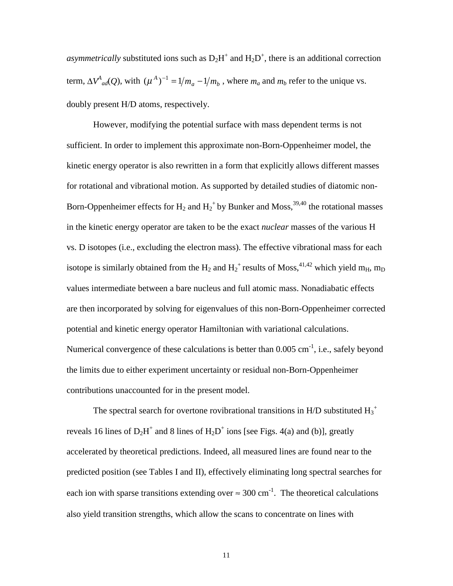*asymmetrically* substituted ions such as  $D_2H^+$  and  $H_2D^+$ , there is an additional correction term,  $\Delta V^4_{ad}(Q)$ , with  $(\mu^A)^{-1} = 1/m_a - 1/m_b$ , where  $m_a$  and  $m_b$  refer to the unique vs. doubly present H/D atoms, respectively.

However, modifying the potential surface with mass dependent terms is not sufficient. In order to implement this approximate non-Born-Oppenheimer model, the kinetic energy operator is also rewritten in a form that explicitly allows different masses for rotational and vibrational motion. As supported by detailed studies of diatomic non-Born-Oppenheimer effects for  $H_2$  and  $H_2^+$  by Bunker and Moss,  $^{39,40}$  the rotational masses in the kinetic energy operator are taken to be the exact *nuclear* masses of the various H vs. D isotopes (i.e., excluding the electron mass). The effective vibrational mass for each isotope is similarly obtained from the  $\text{H}_2$  and  $\text{H}_2^+$  results of Moss, $^{41,42}$  which yield m<sub>H</sub>, m<sub>D</sub> values intermediate between a bare nucleus and full atomic mass. Nonadiabatic effects are then incorporated by solving for eigenvalues of this non-Born-Oppenheimer corrected potential and kinetic energy operator Hamiltonian with variational calculations. Numerical convergence of these calculations is better than  $0.005 \text{ cm}^{-1}$ , i.e., safely beyond the limits due to either experiment uncertainty or residual non-Born-Oppenheimer contributions unaccounted for in the present model.

The spectral search for overtone rovibrational transitions in H/D substituted  $H_3^+$ reveals 16 lines of  $D_2H^+$  and 8 lines of  $H_2D^+$  ions [see Figs. 4(a) and (b)], greatly accelerated by theoretical predictions. Indeed, all measured lines are found near to the predicted position (see Tables I and II), effectively eliminating long spectral searches for each ion with sparse transitions extending over  $\approx 300 \text{ cm}^{-1}$ . The theoretical calculations also yield transition strengths, which allow the scans to concentrate on lines with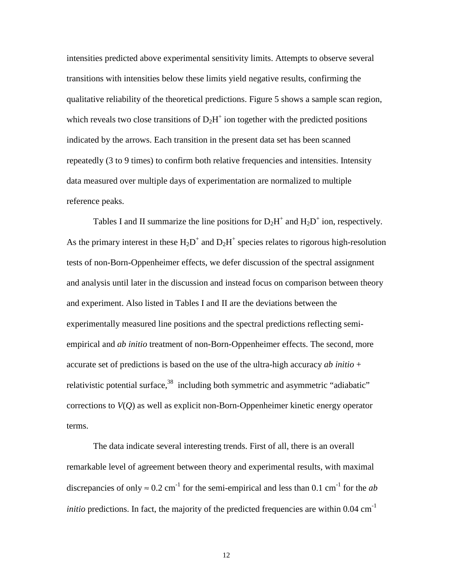intensities predicted above experimental sensitivity limits. Attempts to observe several transitions with intensities below these limits yield negative results, confirming the qualitative reliability of the theoretical predictions. Figure 5 shows a sample scan region, which reveals two close transitions of  $D_2H^+$  ion together with the predicted positions indicated by the arrows. Each transition in the present data set has been scanned repeatedly (3 to 9 times) to confirm both relative frequencies and intensities. Intensity data measured over multiple days of experimentation are normalized to multiple reference peaks.

Tables I and II summarize the line positions for  $D_2H^+$  and  $H_2D^+$  ion, respectively. As the primary interest in these  $H_2D^+$  and  $D_2H^+$  species relates to rigorous high-resolution tests of non-Born-Oppenheimer effects, we defer discussion of the spectral assignment and analysis until later in the discussion and instead focus on comparison between theory and experiment. Also listed in Tables I and II are the deviations between the experimentally measured line positions and the spectral predictions reflecting semiempirical and *ab initio* treatment of non-Born-Oppenheimer effects. The second, more accurate set of predictions is based on the use of the ultra-high accuracy *ab initio* + relativistic potential surface,  $38$  including both symmetric and asymmetric "adiabatic" corrections to *V*(*Q*) as well as explicit non-Born-Oppenheimer kinetic energy operator terms.

The data indicate several interesting trends. First of all, there is an overall remarkable level of agreement between theory and experimental results, with maximal discrepancies of only  $\approx 0.2$  cm<sup>-1</sup> for the semi-empirical and less than 0.1 cm<sup>-1</sup> for the *ab initio* predictions. In fact, the majority of the predicted frequencies are within  $0.04 \text{ cm}^{-1}$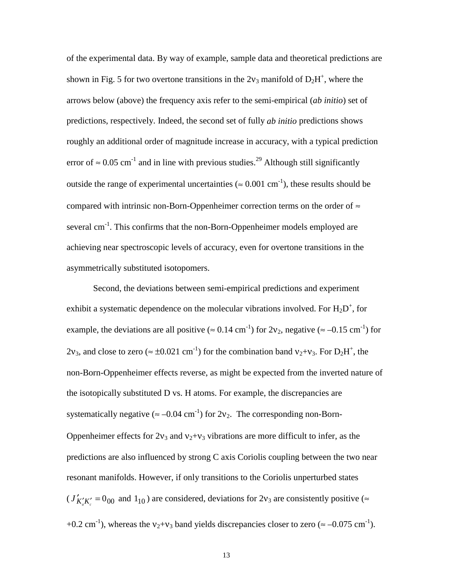of the experimental data. By way of example, sample data and theoretical predictions are shown in Fig. 5 for two overtone transitions in the  $2v_3$  manifold of  $D_2H^+$ , where the arrows below (above) the frequency axis refer to the semi-empirical (*ab initio*) set of predictions, respectively. Indeed, the second set of fully *ab initio* predictions shows roughly an additional order of magnitude increase in accuracy, with a typical prediction error of  $\approx 0.05$  cm<sup>-1</sup> and in line with previous studies.<sup>29</sup> Although still significantly outside the range of experimental uncertainties ( $\approx 0.001 \text{ cm}^{-1}$ ), these results should be compared with intrinsic non-Born-Oppenheimer correction terms on the order of  $\approx$ several cm<sup>-1</sup>. This confirms that the non-Born-Oppenheimer models employed are achieving near spectroscopic levels of accuracy, even for overtone transitions in the asymmetrically substituted isotopomers.

Second, the deviations between semi-empirical predictions and experiment exhibit a systematic dependence on the molecular vibrations involved. For  $H_2D^+$ , for example, the deviations are all positive ( $\approx 0.14 \text{ cm}^{-1}$ ) for  $2v_2$ , negative ( $\approx -0.15 \text{ cm}^{-1}$ ) for 2v<sub>3</sub>, and close to zero ( $\approx \pm 0.021$  cm<sup>-1</sup>) for the combination band v<sub>2</sub>+v<sub>3</sub>. For D<sub>2</sub>H<sup>+</sup>, the non-Born-Oppenheimer effects reverse, as might be expected from the inverted nature of the isotopically substituted D vs. H atoms. For example, the discrepancies are systematically negative ( $\approx -0.04$  cm<sup>-1</sup>) for 2v<sub>2</sub>. The corresponding non-Born-Oppenheimer effects for  $2v_3$  and  $v_2+v_3$  vibrations are more difficult to infer, as the predictions are also influenced by strong C axis Coriolis coupling between the two near resonant manifolds. However, if only transitions to the Coriolis unperturbed states  $(J'_{K'_aK'_c}=0_{00}$  and  $1_{10}$ ) are considered, deviations for 2 $v_3$  are consistently positive ( $\approx$ +0.2 cm<sup>-1</sup>), whereas the  $v_2+v_3$  band yields discrepancies closer to zero ( $\approx -0.075$  cm<sup>-1</sup>).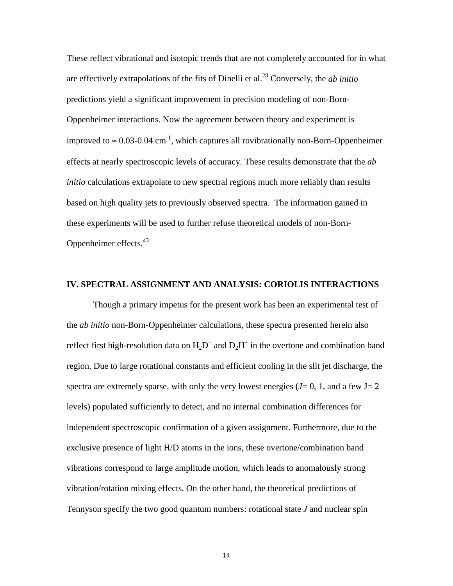These reflect vibrational and isotopic trends that are not completely accounted for in what are effectively extrapolations of the fits of Dinelli et al.28 Conversely, the *ab initio*  predictions yield a significant improvement in precision modeling of non-Born-Oppenheimer interactions. Now the agreement between theory and experiment is improved to  $\approx 0.03$ -0.04 cm<sup>-1</sup>, which captures all rovibrationally non-Born-Oppenheimer effects at nearly spectroscopic levels of accuracy. These results demonstrate that the *ab initio* calculations extrapolate to new spectral regions much more reliably than results based on high quality jets to previously observed spectra. The information gained in these experiments will be used to further refuse theoretical models of non-Born-Oppenheimer effects. $43$ 

### **IV. SPECTRAL ASSIGNMENT AND ANALYSIS: CORIOLIS INTERACTIONS**

Though a primary impetus for the present work has been an experimental test of the *ab initio* non-Born-Oppenheimer calculations, these spectra presented herein also reflect first high-resolution data on  $H_2D^+$  and  $D_2H^+$  in the overtone and combination band region. Due to large rotational constants and efficient cooling in the slit jet discharge, the spectra are extremely sparse, with only the very lowest energies  $(J=0, 1, \text{ and a few } J=2)$ levels) populated sufficiently to detect, and no internal combination differences for independent spectroscopic confirmation of a given assignment. Furthermore, due to the exclusive presence of light H/D atoms in the ions, these overtone/combination band vibrations correspond to large amplitude motion, which leads to anomalously strong vibration/rotation mixing effects. On the other hand, the theoretical predictions of Tennyson specify the two good quantum numbers: rotational state *J* and nuclear spin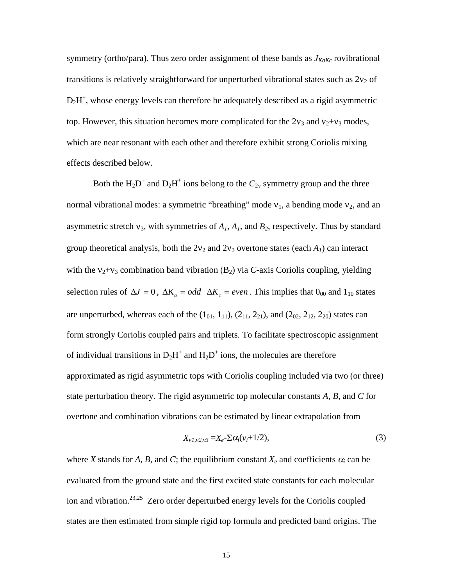symmetry (ortho/para). Thus zero order assignment of these bands as  $J_{KaKc}$  rovibrational transitions is relatively straightforward for unperturbed vibrational states such as  $2v_2$  of  $D_2H^+$ , whose energy levels can therefore be adequately described as a rigid asymmetric top. However, this situation becomes more complicated for the  $2v_3$  and  $v_2+v_3$  modes, which are near resonant with each other and therefore exhibit strong Coriolis mixing effects described below.

Both the  $H_2D^+$  and  $D_2H^+$  ions belong to the  $C_{2v}$  symmetry group and the three normal vibrational modes: a symmetric "breathing" mode  $v_1$ , a bending mode  $v_2$ , and an asymmetric stretch  $v_3$ , with symmetries of  $A_1$ ,  $A_1$ , and  $B_2$ , respectively. Thus by standard group theoretical analysis, both the  $2v_2$  and  $2v_3$  overtone states (each  $A_1$ ) can interact with the  $v_2 + v_3$  combination band vibration  $(B_2)$  via *C*-axis Coriolis coupling, yielding selection rules of  $\Delta J = 0$ ,  $\Delta K_a = odd \Delta K_c = even$ . This implies that 0<sub>00</sub> and 1<sub>10</sub> states are unperturbed, whereas each of the  $(1_{01}, 1_{11})$ ,  $(2_{11}, 2_{21})$ , and  $(2_{02}, 2_{12}, 2_{20})$  states can form strongly Coriolis coupled pairs and triplets. To facilitate spectroscopic assignment of individual transitions in  $D_2H^+$  and  $H_2D^+$  ions, the molecules are therefore approximated as rigid asymmetric tops with Coriolis coupling included via two (or three) state perturbation theory. The rigid asymmetric top molecular constants *A*, *B*, and *C* for overtone and combination vibrations can be estimated by linear extrapolation from

$$
X_{\nu l,\nu 2,\nu 3} = X_e - \Sigma \alpha_i (\nu_i + 1/2), \qquad (3)
$$

where *X* stands for *A*, *B*, and *C*; the equilibrium constant  $X_e$  and coefficients  $\alpha_i$  can be evaluated from the ground state and the first excited state constants for each molecular ion and vibration.23,25 Zero order deperturbed energy levels for the Coriolis coupled states are then estimated from simple rigid top formula and predicted band origins. The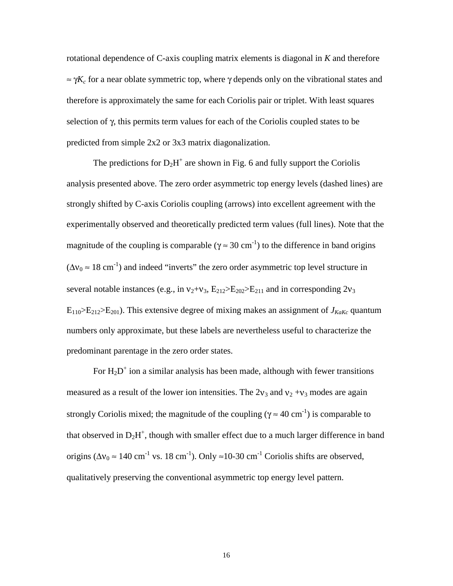rotational dependence of C-axis coupling matrix elements is diagonal in *K* and therefore  $\approx \gamma K_c$  for a near oblate symmetric top, where  $\gamma$  depends only on the vibrational states and therefore is approximately the same for each Coriolis pair or triplet. With least squares selection of γ, this permits term values for each of the Coriolis coupled states to be predicted from simple 2x2 or 3x3 matrix diagonalization.

The predictions for  $D_2H^+$  are shown in Fig. 6 and fully support the Coriolis analysis presented above. The zero order asymmetric top energy levels (dashed lines) are strongly shifted by C-axis Coriolis coupling (arrows) into excellent agreement with the experimentally observed and theoretically predicted term values (full lines). Note that the magnitude of the coupling is comparable ( $\gamma \approx 30 \text{ cm}^{-1}$ ) to the difference in band origins  $(\Delta v_0 \approx 18 \text{ cm}^{-1})$  and indeed "inverts" the zero order asymmetric top level structure in several notable instances (e.g., in  $v_2 + v_3$ ,  $E_{212} \ge E_{202} \ge E_{211}$  and in corresponding  $2v_3$  $E_{110} > E_{212} > E_{201}$ ). This extensive degree of mixing makes an assignment of  $J_{KaKc}$  quantum numbers only approximate, but these labels are nevertheless useful to characterize the predominant parentage in the zero order states.

For  $H_2D^+$  ion a similar analysis has been made, although with fewer transitions measured as a result of the lower ion intensities. The  $2v_3$  and  $v_2 + v_3$  modes are again strongly Coriolis mixed; the magnitude of the coupling ( $\gamma \approx 40 \text{ cm}^{-1}$ ) is comparable to that observed in  $D_2H^+$ , though with smaller effect due to a much larger difference in band origins ( $\Delta v_0 \approx 140 \text{ cm}^{-1}$  vs. 18 cm<sup>-1</sup>). Only ≈10-30 cm<sup>-1</sup> Coriolis shifts are observed, qualitatively preserving the conventional asymmetric top energy level pattern.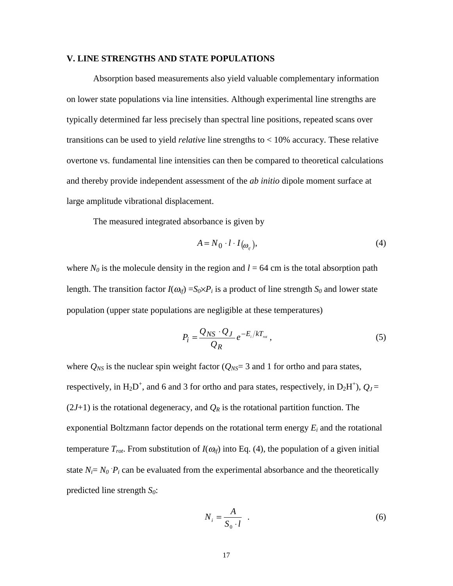### **V. LINE STRENGTHS AND STATE POPULATIONS**

Absorption based measurements also yield valuable complementary information on lower state populations via line intensities. Although experimental line strengths are typically determined far less precisely than spectral line positions, repeated scans over transitions can be used to yield *relative* line strengths to < 10% accuracy. These relative overtone vs. fundamental line intensities can then be compared to theoretical calculations and thereby provide independent assessment of the *ab initio* dipole moment surface at large amplitude vibrational displacement.

The measured integrated absorbance is given by

$$
A = N_0 \cdot l \cdot I_{\left(\omega_{ij}\right)},\tag{4}
$$

where  $N_0$  is the molecule density in the region and  $l = 64$  cm is the total absorption path length. The transition factor  $I(\omega_{if}) = S_0 \times P_i$  is a product of line strength  $S_0$  and lower state population (upper state populations are negligible at these temperatures)

$$
P_i = \frac{Q_{NS} \cdot Q_J}{Q_R} e^{-E_i/kT_{rot}},
$$
\n(5)

where  $Q_{NS}$  is the nuclear spin weight factor ( $Q_{NS}$ = 3 and 1 for ortho and para states, respectively, in  $H_2D^+$ , and 6 and 3 for ortho and para states, respectively, in  $D_2H^+$ ),  $Q_J =$  $(2J+1)$  is the rotational degeneracy, and  $Q_R$  is the rotational partition function. The exponential Boltzmann factor depends on the rotational term energy  $E_i$  and the rotational temperature  $T_{rot}$ . From substitution of  $I(\omega_{if})$  into Eq. (4), the population of a given initial state  $N_i = N_0 \cdot P_i$  can be evaluated from the experimental absorbance and the theoretically predicted line strength  $S_0$ :

$$
N_i = \frac{A}{S_0 \cdot l} \quad . \tag{6}
$$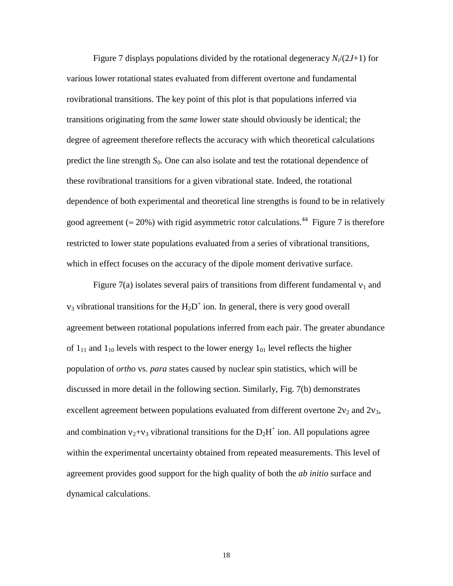Figure 7 displays populations divided by the rotational degeneracy *Ni*/(2*J*+1) for various lower rotational states evaluated from different overtone and fundamental rovibrational transitions. The key point of this plot is that populations inferred via transitions originating from the *same* lower state should obviously be identical; the degree of agreement therefore reflects the accuracy with which theoretical calculations predict the line strength  $S_0$ . One can also isolate and test the rotational dependence of these rovibrational transitions for a given vibrational state. Indeed, the rotational dependence of both experimental and theoretical line strengths is found to be in relatively good agreement ( $\approx$  20%) with rigid asymmetric rotor calculations.<sup>44</sup> Figure 7 is therefore restricted to lower state populations evaluated from a series of vibrational transitions, which in effect focuses on the accuracy of the dipole moment derivative surface.

Figure 7(a) isolates several pairs of transitions from different fundamental  $v_1$  and  $v_3$  vibrational transitions for the  $H_2D^+$  ion. In general, there is very good overall agreement between rotational populations inferred from each pair. The greater abundance of  $1_{11}$  and  $1_{10}$  levels with respect to the lower energy  $1_{01}$  level reflects the higher population of *ortho* vs. *para* states caused by nuclear spin statistics, which will be discussed in more detail in the following section. Similarly, Fig. 7(b) demonstrates excellent agreement between populations evaluated from different overtone  $2v_2$  and  $2v_3$ , and combination  $v_2 + v_3$  vibrational transitions for the  $D_2H^+$  ion. All populations agree within the experimental uncertainty obtained from repeated measurements. This level of agreement provides good support for the high quality of both the *ab initio* surface and dynamical calculations.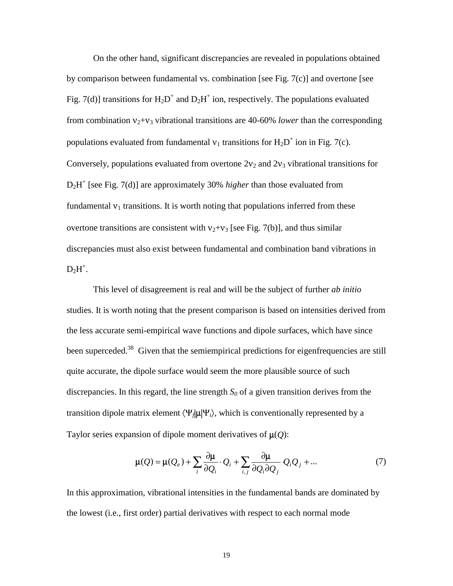On the other hand, significant discrepancies are revealed in populations obtained by comparison between fundamental vs. combination [see Fig. 7(c)] and overtone [see Fig. 7(d)] transitions for  $H_2D^+$  and  $D_2H^+$  ion, respectively. The populations evaluated from combination  $v_2 + v_3$  vibrational transitions are 40-60% *lower* than the corresponding populations evaluated from fundamental  $v_1$  transitions for  $H_2D^+$  ion in Fig. 7(c). Conversely, populations evaluated from overtone  $2v_2$  and  $2v_3$  vibrational transitions for D2H+ [see Fig. 7(d)] are approximately 30% *higher* than those evaluated from fundamental  $v_1$  transitions. It is worth noting that populations inferred from these overtone transitions are consistent with  $v_2 + v_3$  [see Fig. 7(b)], and thus similar discrepancies must also exist between fundamental and combination band vibrations in  $D_2H^+$ .

This level of disagreement is real and will be the subject of further *ab initio* studies. It is worth noting that the present comparison is based on intensities derived from the less accurate semi-empirical wave functions and dipole surfaces, which have since been superceded.<sup>38</sup> Given that the semiempirical predictions for eigenfrequencies are still quite accurate, the dipole surface would seem the more plausible source of such discrepancies. In this regard, the line strength  $S_0$  of a given transition derives from the transition dipole matrix element  $\langle \Psi_f | \mu | \Psi_i \rangle$ , which is conventionally represented by a Taylor series expansion of dipole moment derivatives of  $\mu(Q)$ :

$$
\mu(Q) = \mu(Q_e) + \sum_i \frac{\partial \mu}{\partial Q_i} \cdot Q_i + \sum_{i,j} \frac{\partial \mu}{\partial Q_i \partial Q_j} Q_i Q_j + \dots
$$
 (7)

In this approximation, vibrational intensities in the fundamental bands are dominated by the lowest (i.e., first order) partial derivatives with respect to each normal mode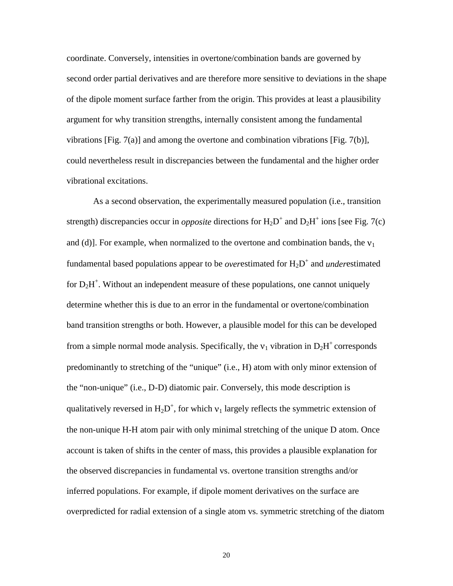coordinate. Conversely, intensities in overtone/combination bands are governed by second order partial derivatives and are therefore more sensitive to deviations in the shape of the dipole moment surface farther from the origin. This provides at least a plausibility argument for why transition strengths, internally consistent among the fundamental vibrations [Fig. 7(a)] and among the overtone and combination vibrations [Fig. 7(b)], could nevertheless result in discrepancies between the fundamental and the higher order vibrational excitations.

As a second observation, the experimentally measured population (i.e., transition strength) discrepancies occur in *opposite* directions for  $H_2D^+$  and  $D_2H^+$  ions [see Fig. 7(c) and (d)]. For example, when normalized to the overtone and combination bands, the  $v_1$ fundamental based populations appear to be *overestimated* for  $H_2D^+$  and *underestimated* for  $D_2H^+$ . Without an independent measure of these populations, one cannot uniquely determine whether this is due to an error in the fundamental or overtone/combination band transition strengths or both. However, a plausible model for this can be developed from a simple normal mode analysis. Specifically, the  $v_1$  vibration in  $D_2H^+$  corresponds predominantly to stretching of the "unique" (i.e., H) atom with only minor extension of the "non-unique" (i.e., D-D) diatomic pair. Conversely, this mode description is qualitatively reversed in  $H_2D^+$ , for which  $v_1$  largely reflects the symmetric extension of the non-unique H-H atom pair with only minimal stretching of the unique D atom. Once account is taken of shifts in the center of mass, this provides a plausible explanation for the observed discrepancies in fundamental vs. overtone transition strengths and/or inferred populations. For example, if dipole moment derivatives on the surface are overpredicted for radial extension of a single atom vs. symmetric stretching of the diatom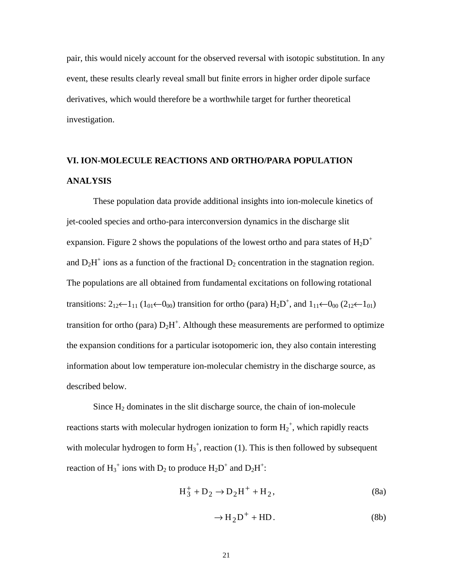pair, this would nicely account for the observed reversal with isotopic substitution. In any event, these results clearly reveal small but finite errors in higher order dipole surface derivatives, which would therefore be a worthwhile target for further theoretical investigation.

## **VI. ION-MOLECULE REACTIONS AND ORTHO/PARA POPULATION ANALYSIS**

These population data provide additional insights into ion-molecule kinetics of jet-cooled species and ortho-para interconversion dynamics in the discharge slit expansion. Figure 2 shows the populations of the lowest ortho and para states of  $H_2D^+$ and  $D_2H^+$  ions as a function of the fractional  $D_2$  concentration in the stagnation region. The populations are all obtained from fundamental excitations on following rotational transitions:  $2_{12}(-1)$  ( $1_{01}(-0_{00})$  transition for ortho (para)  $H_2D^+$ , and  $1_{11}(-0_{00} (2_{12}(-1_{01}))$ transition for ortho (para)  $D_2H^+$ . Although these measurements are performed to optimize the expansion conditions for a particular isotopomeric ion, they also contain interesting information about low temperature ion-molecular chemistry in the discharge source, as described below.

Since  $H_2$  dominates in the slit discharge source, the chain of ion-molecule reactions starts with molecular hydrogen ionization to form  $H_2^+$ , which rapidly reacts with molecular hydrogen to form  $H_3^+$ , reaction (1). This is then followed by subsequent reaction of  $H_3^+$  ions with  $D_2$  to produce  $H_2D^+$  and  $D_2H^+$ :

$$
H_3^+ + D_2 \to D_2 H^+ + H_2, \tag{8a}
$$

$$
\rightarrow H_2D^+ + HD. \tag{8b}
$$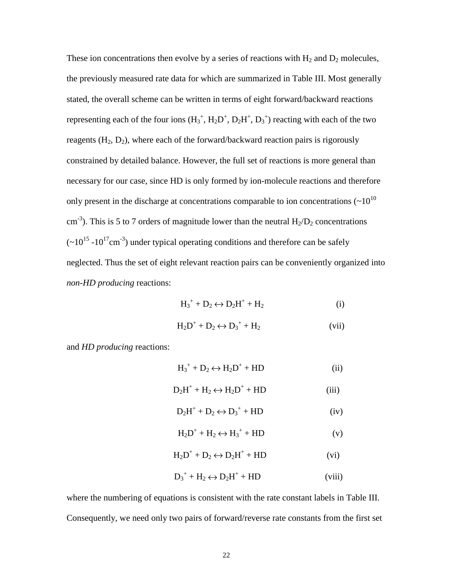These ion concentrations then evolve by a series of reactions with  $H_2$  and  $D_2$  molecules, the previously measured rate data for which are summarized in Table III. Most generally stated, the overall scheme can be written in terms of eight forward/backward reactions representing each of the four ions  $(H_3^+, H_2D^+, D_2H^+, D_3^+)$  reacting with each of the two reagents  $(H_2, D_2)$ , where each of the forward/backward reaction pairs is rigorously constrained by detailed balance. However, the full set of reactions is more general than necessary for our case, since HD is only formed by ion-molecule reactions and therefore only present in the discharge at concentrations comparable to ion concentrations  $(\sim 10^{10}$ cm<sup>-3</sup>). This is 5 to 7 orders of magnitude lower than the neutral  $H_2/D_2$  concentrations  $({\sim}10^{15} - 10^{17} \text{cm}^{-3})$  under typical operating conditions and therefore can be safely neglected. Thus the set of eight relevant reaction pairs can be conveniently organized into *non-HD producing* reactions:

$$
H_3^+ + D_2 \leftrightarrow D_2 H^+ + H_2 \tag{i}
$$

$$
H_2D^+ + D_2 \leftrightarrow D_3^+ + H_2 \tag{vii}
$$

and *HD producing* reactions:

| $H_3^+$ + $D_2 \leftrightarrow H_2D^+$ + HD |  |
|---------------------------------------------|--|
|                                             |  |

$$
D_2H^+ + H_2 \leftrightarrow H_2D^+ + HD
$$
 (iii)

$$
D_2H^+ + D_2 \leftrightarrow D_3^+ + HD
$$
 (iv)

$$
H_2D^+ + H_2 \leftrightarrow H_3^+ + HD
$$
 (v)

$$
H_2D^+ + D_2 \leftrightarrow D_2H^+ + HD
$$
 (vi)

$$
D_3^+ + H_2 \leftrightarrow D_2H^+ + HD
$$
 (viii)

where the numbering of equations is consistent with the rate constant labels in Table III. Consequently, we need only two pairs of forward/reverse rate constants from the first set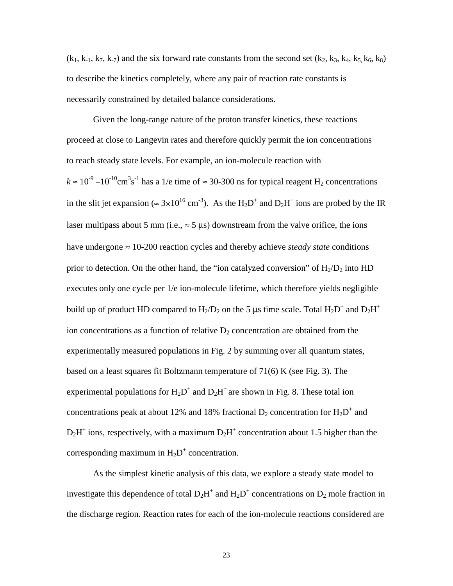$(k_1, k_1, k_7, k_7)$  and the six forward rate constants from the second set  $(k_2, k_3, k_4, k_5, k_6, k_8)$ to describe the kinetics completely, where any pair of reaction rate constants is necessarily constrained by detailed balance considerations.

Given the long-range nature of the proton transfer kinetics, these reactions proceed at close to Langevin rates and therefore quickly permit the ion concentrations to reach steady state levels. For example, an ion-molecule reaction with  $k \approx 10^{-9} - 10^{-10} \text{cm}^3 \text{s}^{-1}$  has a 1/e time of  $\approx 30$ -300 ns for typical reagent H<sub>2</sub> concentrations in the slit jet expansion ( $\approx 3 \times 10^{16}$  cm<sup>-3</sup>). As the H<sub>2</sub>D<sup>+</sup> and D<sub>2</sub>H<sup>+</sup> ions are probed by the IR laser multipass about 5 mm (i.e.,  $\approx$  5  $\mu$ s) downstream from the valve orifice, the ions have undergone ≈ 10-200 reaction cycles and thereby achieve *steady state* conditions prior to detection. On the other hand, the "ion catalyzed conversion" of  $H_2/D_2$  into HD executes only one cycle per 1/e ion-molecule lifetime, which therefore yields negligible build up of product HD compared to  $H_2/D_2$  on the 5 µs time scale. Total  $H_2D^+$  and  $D_2H^+$ ion concentrations as a function of relative  $D_2$  concentration are obtained from the experimentally measured populations in Fig. 2 by summing over all quantum states, based on a least squares fit Boltzmann temperature of 71(6) K (see Fig. 3). The experimental populations for  $H_2D^+$  and  $D_2H^+$  are shown in Fig. 8. These total ion concentrations peak at about 12% and 18% fractional  $D_2$  concentration for  $H_2D^+$  and  $D_2H^+$  ions, respectively, with a maximum  $D_2H^+$  concentration about 1.5 higher than the corresponding maximum in  $H_2D^+$  concentration.

As the simplest kinetic analysis of this data, we explore a steady state model to investigate this dependence of total  $D_2H^+$  and  $H_2D^+$  concentrations on  $D_2$  mole fraction in the discharge region. Reaction rates for each of the ion-molecule reactions considered are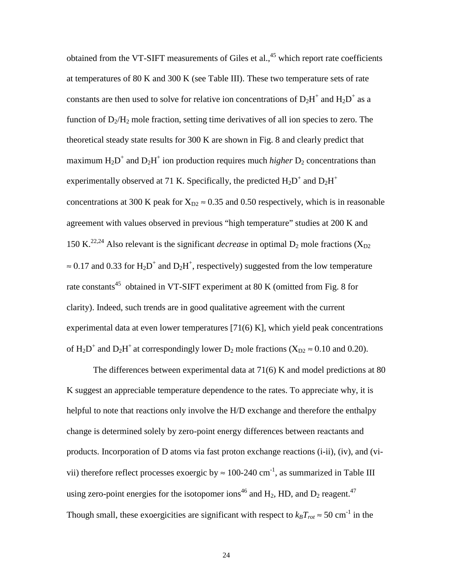obtained from the VT-SIFT measurements of Giles et al.,  $45$  which report rate coefficients at temperatures of 80 K and 300 K (see Table III). These two temperature sets of rate constants are then used to solve for relative ion concentrations of  $D_2H^+$  and  $H_2D^+$  as a function of  $D_2/H_2$  mole fraction, setting time derivatives of all ion species to zero. The theoretical steady state results for 300 K are shown in Fig. 8 and clearly predict that maximum  $H_2D^+$  and  $D_2H^+$  ion production requires much *higher*  $D_2$  concentrations than experimentally observed at 71 K. Specifically, the predicted  $H_2D^+$  and  $D_2H^+$ concentrations at 300 K peak for  $X_{D2} \approx 0.35$  and 0.50 respectively, which is in reasonable agreement with values observed in previous "high temperature" studies at 200 K and 150 K.<sup>22,24</sup> Also relevant is the significant *decrease* in optimal  $D_2$  mole fractions ( $X_{D2}$ )  $\approx 0.17$  and 0.33 for H<sub>2</sub>D<sup>+</sup> and D<sub>2</sub>H<sup>+</sup>, respectively) suggested from the low temperature rate constants<sup>45</sup> obtained in VT-SIFT experiment at 80 K (omitted from Fig. 8 for clarity). Indeed, such trends are in good qualitative agreement with the current experimental data at even lower temperatures [71(6) K], which yield peak concentrations of  $H_2D^+$  and  $D_2H^+$  at correspondingly lower  $D_2$  mole fractions ( $X_{D2} \approx 0.10$  and 0.20).

The differences between experimental data at 71(6) K and model predictions at 80 K suggest an appreciable temperature dependence to the rates. To appreciate why, it is helpful to note that reactions only involve the H/D exchange and therefore the enthalpy change is determined solely by zero-point energy differences between reactants and products. Incorporation of D atoms via fast proton exchange reactions (i-ii), (iv), and (vivii) therefore reflect processes exoergic by  $\approx 100$ -240 cm<sup>-1</sup>, as summarized in Table III using zero-point energies for the isotopomer ions<sup>46</sup> and  $H_2$ , HD, and  $D_2$  reagent.<sup>47</sup> Though small, these exoergicities are significant with respect to  $k_B T_{rot} \approx 50 \text{ cm}^{-1}$  in the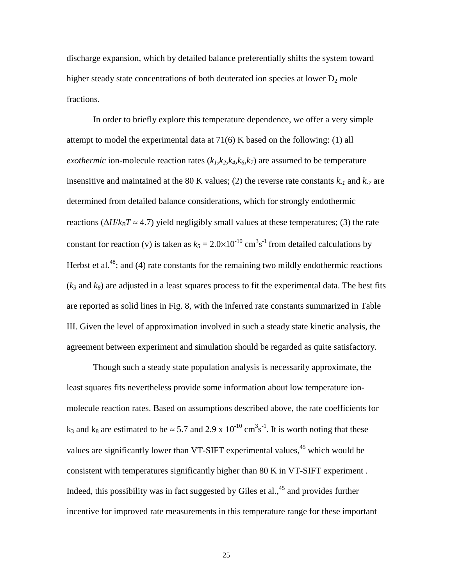discharge expansion, which by detailed balance preferentially shifts the system toward higher steady state concentrations of both deuterated ion species at lower  $D_2$  mole fractions.

In order to briefly explore this temperature dependence, we offer a very simple attempt to model the experimental data at 71(6) K based on the following: (1) all *exothermic* ion-molecule reaction rates  $(k_1, k_2, k_4, k_6, k_7)$  are assumed to be temperature insensitive and maintained at the 80 K values; (2) the reverse rate constants  $k_1$  and  $k_2$  are determined from detailed balance considerations, which for strongly endothermic reactions ( $\Delta H/k_BT \approx 4.7$ ) yield negligibly small values at these temperatures; (3) the rate constant for reaction (v) is taken as  $k_5 = 2.0 \times 10^{-10} \text{ cm}^3 \text{s}^{-1}$  from detailed calculations by Herbst et al.<sup>48</sup>; and (4) rate constants for the remaining two mildly endothermic reactions  $(k_3 \text{ and } k_8)$  are adjusted in a least squares process to fit the experimental data. The best fits are reported as solid lines in Fig. 8, with the inferred rate constants summarized in Table III. Given the level of approximation involved in such a steady state kinetic analysis, the agreement between experiment and simulation should be regarded as quite satisfactory.

Though such a steady state population analysis is necessarily approximate, the least squares fits nevertheless provide some information about low temperature ionmolecule reaction rates. Based on assumptions described above, the rate coefficients for  $k_3$  and  $k_8$  are estimated to be  $\approx 5.7$  and 2.9 x 10<sup>-10</sup> cm<sup>3</sup>s<sup>-1</sup>. It is worth noting that these values are significantly lower than VT-SIFT experimental values,<sup>45</sup> which would be consistent with temperatures significantly higher than 80 K in VT-SIFT experiment . Indeed, this possibility was in fact suggested by Giles et al.,  $45$  and provides further incentive for improved rate measurements in this temperature range for these important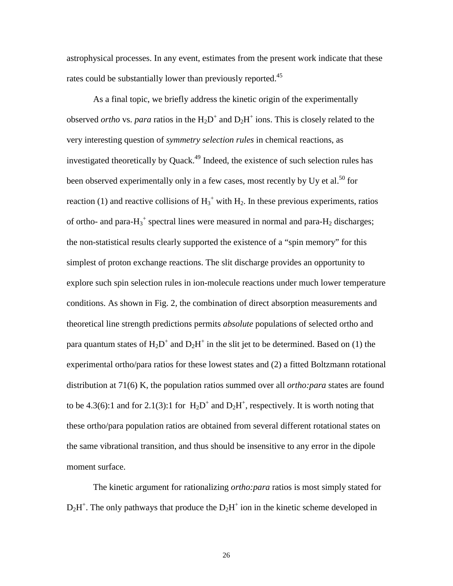astrophysical processes. In any event, estimates from the present work indicate that these rates could be substantially lower than previously reported.<sup>45</sup>

As a final topic, we briefly address the kinetic origin of the experimentally observed *ortho* vs. *para* ratios in the  $H_2D^+$  and  $D_2H^+$  ions. This is closely related to the very interesting question of *symmetry selection rules* in chemical reactions, as investigated theoretically by Quack.<sup>49</sup> Indeed, the existence of such selection rules has been observed experimentally only in a few cases, most recently by Uy et al.<sup>50</sup> for reaction (1) and reactive collisions of  $H_3^+$  with  $H_2$ . In these previous experiments, ratios of ortho- and para- $H_3$ <sup>+</sup> spectral lines were measured in normal and para- $H_2$  discharges; the non-statistical results clearly supported the existence of a "spin memory" for this simplest of proton exchange reactions. The slit discharge provides an opportunity to explore such spin selection rules in ion-molecule reactions under much lower temperature conditions. As shown in Fig. 2, the combination of direct absorption measurements and theoretical line strength predictions permits *absolute* populations of selected ortho and para quantum states of  $H_2D^+$  and  $D_2H^+$  in the slit jet to be determined. Based on (1) the experimental ortho/para ratios for these lowest states and (2) a fitted Boltzmann rotational distribution at 71(6) K, the population ratios summed over all *ortho:para* states are found to be 4.3(6):1 and for 2.1(3):1 for  $H_2D^+$  and  $D_2H^+$ , respectively. It is worth noting that these ortho/para population ratios are obtained from several different rotational states on the same vibrational transition, and thus should be insensitive to any error in the dipole moment surface.

The kinetic argument for rationalizing *ortho:para* ratios is most simply stated for  $D_2H^+$ . The only pathways that produce the  $D_2H^+$  ion in the kinetic scheme developed in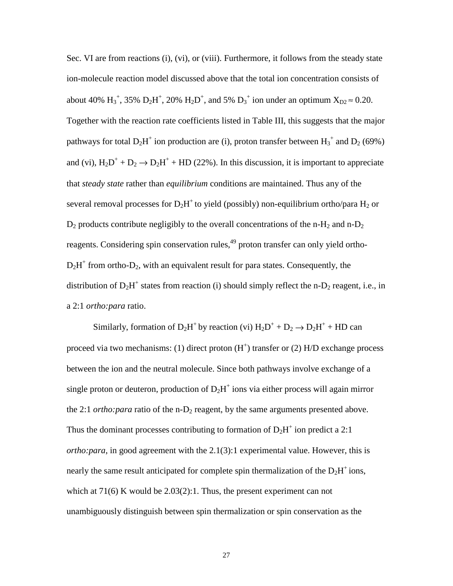Sec. VI are from reactions (i), (vi), or (viii). Furthermore, it follows from the steady state ion-molecule reaction model discussed above that the total ion concentration consists of about 40%  $H_3^+$ , 35%  $D_2H^+$ , 20%  $H_2D^+$ , and 5%  $D_3^+$  ion under an optimum  $X_{D2} \approx 0.20$ . Together with the reaction rate coefficients listed in Table III, this suggests that the major pathways for total  $D_2H^+$  ion production are (i), proton transfer between  $H_3^+$  and  $D_2$  (69%) and (vi),  $H_2D^+ + D_2 \rightarrow D_2H^+ + HD$  (22%). In this discussion, it is important to appreciate that *steady state* rather than *equilibrium* conditions are maintained. Thus any of the several removal processes for  $D_2H^+$  to yield (possibly) non-equilibrium ortho/para  $H_2$  or  $D_2$  products contribute negligibly to the overall concentrations of the n-H<sub>2</sub> and n- $D_2$ reagents. Considering spin conservation rules,<sup>49</sup> proton transfer can only yield ortho- $D_2H^+$  from ortho- $D_2$ , with an equivalent result for para states. Consequently, the distribution of  $D_2H^+$  states from reaction (i) should simply reflect the n- $D_2$  reagent, i.e., in a 2:1 *ortho:para* ratio.

Similarly, formation of  $D_2H^+$  by reaction (vi)  $H_2D^+ + D_2 \rightarrow D_2H^+ + HD$  can proceed via two mechanisms: (1) direct proton  $(H<sup>+</sup>)$  transfer or (2) H/D exchange process between the ion and the neutral molecule. Since both pathways involve exchange of a single proton or deuteron, production of  $D_2H^+$  ions via either process will again mirror the 2:1 *ortho:para* ratio of the n- $D_2$  reagent, by the same arguments presented above. Thus the dominant processes contributing to formation of  $D_2H^+$  ion predict a 2:1 *ortho:para*, in good agreement with the 2.1(3):1 experimental value. However, this is nearly the same result anticipated for complete spin thermalization of the  $D_2H^+$  ions, which at 71(6) K would be 2.03(2):1. Thus, the present experiment can not unambiguously distinguish between spin thermalization or spin conservation as the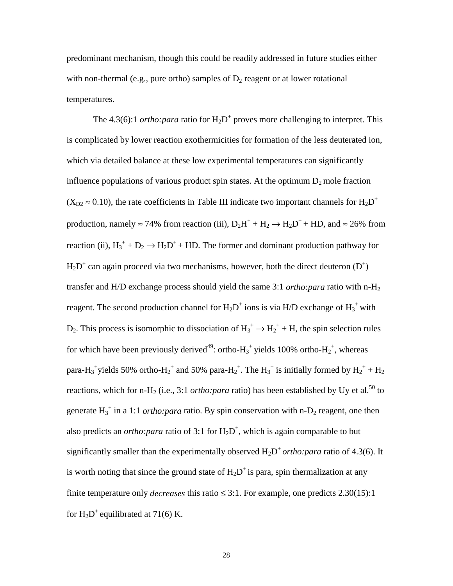predominant mechanism, though this could be readily addressed in future studies either with non-thermal (e.g., pure ortho) samples of  $D_2$  reagent or at lower rotational temperatures.

The  $4.3(6)$ :1 *ortho:para* ratio for  $H_2D^+$  proves more challenging to interpret. This is complicated by lower reaction exothermicities for formation of the less deuterated ion, which via detailed balance at these low experimental temperatures can significantly influence populations of various product spin states. At the optimum  $D_2$  mole fraction  $(X_{D2} \approx 0.10)$ , the rate coefficients in Table III indicate two important channels for  $H_2D^+$ production, namely  $\approx$  74% from reaction (iii),  $D_2H^+ + H_2 \rightarrow H_2D^+ + HD$ , and  $\approx$  26% from reaction (ii),  $H_3^+$  +  $D_2 \rightarrow H_2D^+$  + HD. The former and dominant production pathway for  $H_2D^+$  can again proceed via two mechanisms, however, both the direct deuteron  $(D^+)$ transfer and H/D exchange process should yield the same 3:1 *ortho:para* ratio with n-H2 reagent. The second production channel for  $H_2D^+$  ions is via H/D exchange of  $H_3^+$  with  $D_2$ . This process is isomorphic to dissociation of  $H_3^+ \rightarrow H_2^+ + H$ , the spin selection rules for which have been previously derived<sup>49</sup>: ortho- $H_3$ <sup>+</sup> yields 100% ortho- $H_2$ <sup>+</sup>, whereas para-H<sub>3</sub><sup>+</sup>yields 50% ortho-H<sub>2</sub><sup>+</sup> and 50% para-H<sub>2</sub><sup>+</sup>. The H<sub>3</sub><sup>+</sup> is initially formed by H<sub>2</sub><sup>+</sup> + H<sub>2</sub> reactions, which for n-H<sub>2</sub> (i.e., 3:1 *ortho:para* ratio) has been established by Uy et al.<sup>50</sup> to generate  $H_3^+$  in a 1:1 *ortho: para* ratio. By spin conservation with n- $D_2$  reagent, one then also predicts an *ortho: para* ratio of 3:1 for  $H_2D^+$ , which is again comparable to but significantly smaller than the experimentally observed  $H_2D^+$  *ortho:para* ratio of 4.3(6). It is worth noting that since the ground state of  $H_2D^+$  is para, spin thermalization at any finite temperature only *decreases* this ratio  $\leq$  3:1. For example, one predicts 2.30(15):1 for  $H_2D^+$  equilibrated at 71(6) K.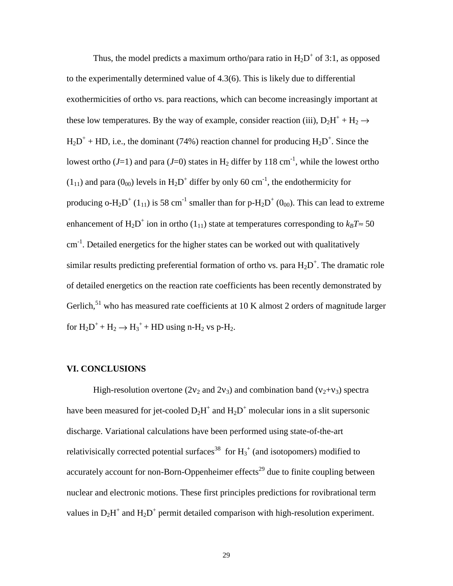Thus, the model predicts a maximum ortho/para ratio in  $H_2D^+$  of 3:1, as opposed to the experimentally determined value of 4.3(6). This is likely due to differential exothermicities of ortho vs. para reactions, which can become increasingly important at these low temperatures. By the way of example, consider reaction (iii),  $D_2H^+ + H_2 \rightarrow$  $H_2D^+$  + HD, i.e., the dominant (74%) reaction channel for producing  $H_2D^+$ . Since the lowest ortho ( $J=1$ ) and para ( $J=0$ ) states in H<sub>2</sub> differ by 118 cm<sup>-1</sup>, while the lowest ortho  $(1_{11})$  and para  $(0_{00})$  levels in  $H_2D^+$  differ by only 60 cm<sup>-1</sup>, the endothermicity for producing o-H<sub>2</sub>D<sup>+</sup> (1<sub>11</sub>) is 58 cm<sup>-1</sup> smaller than for p-H<sub>2</sub>D<sup>+</sup> (0<sub>00</sub>). This can lead to extreme enhancement of  $H_2D^+$  ion in ortho (1<sub>11</sub>) state at temperatures corresponding to  $k_B T \approx 50$ cm<sup>-1</sup>. Detailed energetics for the higher states can be worked out with qualitatively similar results predicting preferential formation of ortho vs. para  $H_2D^+$ . The dramatic role of detailed energetics on the reaction rate coefficients has been recently demonstrated by Gerlich, $51$  who has measured rate coefficients at 10 K almost 2 orders of magnitude larger for  $H_2D^+ + H_2 \rightarrow H_3^+ + HD$  using n-H<sub>2</sub> vs p-H<sub>2</sub>.

### **VI. CONCLUSIONS**

High-resolution overtone (2 $v_2$  and 2 $v_3$ ) and combination band ( $v_2 + v_3$ ) spectra have been measured for jet-cooled  $D_2H^+$  and  $H_2D^+$  molecular ions in a slit supersonic discharge. Variational calculations have been performed using state-of-the-art relativisically corrected potential surfaces<sup>38</sup> for  $H_3^+$  (and isotopomers) modified to accurately account for non-Born-Oppenheimer effects<sup>29</sup> due to finite coupling between nuclear and electronic motions. These first principles predictions for rovibrational term values in  $D_2H^+$  and  $H_2D^+$  permit detailed comparison with high-resolution experiment.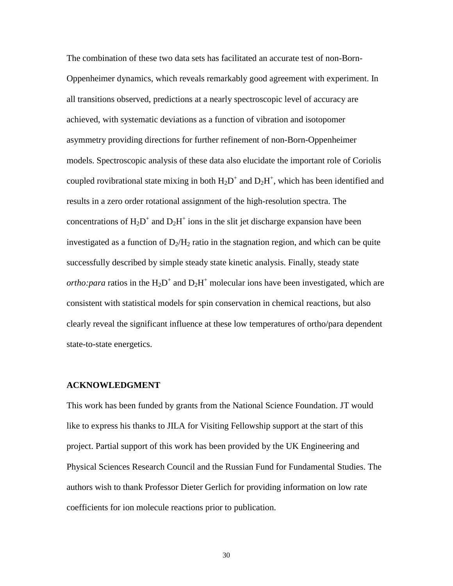The combination of these two data sets has facilitated an accurate test of non-Born-Oppenheimer dynamics, which reveals remarkably good agreement with experiment. In all transitions observed, predictions at a nearly spectroscopic level of accuracy are achieved, with systematic deviations as a function of vibration and isotopomer asymmetry providing directions for further refinement of non-Born-Oppenheimer models. Spectroscopic analysis of these data also elucidate the important role of Coriolis coupled rovibrational state mixing in both  $H_2D^+$  and  $D_2H^+$ , which has been identified and results in a zero order rotational assignment of the high-resolution spectra. The concentrations of  $H_2D^+$  and  $D_2H^+$  ions in the slit jet discharge expansion have been investigated as a function of  $D_2/H_2$  ratio in the stagnation region, and which can be quite successfully described by simple steady state kinetic analysis. Finally, steady state *ortho: para* ratios in the  $H_2D^+$  and  $D_2H^+$  molecular ions have been investigated, which are consistent with statistical models for spin conservation in chemical reactions, but also clearly reveal the significant influence at these low temperatures of ortho/para dependent state-to-state energetics.

### **ACKNOWLEDGMENT**

This work has been funded by grants from the National Science Foundation. JT would like to express his thanks to JILA for Visiting Fellowship support at the start of this project. Partial support of this work has been provided by the UK Engineering and Physical Sciences Research Council and the Russian Fund for Fundamental Studies. The authors wish to thank Professor Dieter Gerlich for providing information on low rate coefficients for ion molecule reactions prior to publication.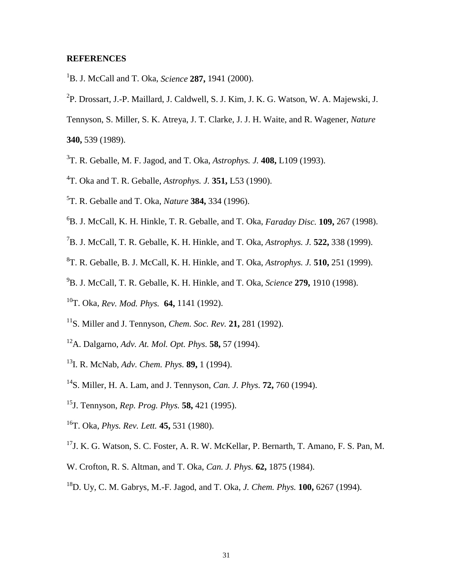### **REFERENCES**

- 1 B. J. McCall and T. Oka, *Science* **287,** 1941 (2000).
- 2 P. Drossart, J.-P. Maillard, J. Caldwell, S. J. Kim, J. K. G. Watson, W. A. Majewski, J.
- Tennyson, S. Miller, S. K. Atreya, J. T. Clarke, J. J. H. Waite, and R. Wagener, *Nature*

**340,** 539 (1989).

- 3 T. R. Geballe, M. F. Jagod, and T. Oka, *Astrophys. J.* **408,** L109 (1993).
- 4 T. Oka and T. R. Geballe, *Astrophys. J.* **351,** L53 (1990).
- 5 T. R. Geballe and T. Oka, *Nature* **384,** 334 (1996).
- 6 B. J. McCall, K. H. Hinkle, T. R. Geballe, and T. Oka, *Faraday Disc.* **109,** 267 (1998).
- 7 B. J. McCall, T. R. Geballe, K. H. Hinkle, and T. Oka, *Astrophys. J.* **522,** 338 (1999).
- 8 T. R. Geballe, B. J. McCall, K. H. Hinkle, and T. Oka, *Astrophys. J.* **510,** 251 (1999).
- 9 B. J. McCall, T. R. Geballe, K. H. Hinkle, and T. Oka, *Science* **279,** 1910 (1998).
- 10T. Oka, *Rev. Mod. Phys.* **64,** 1141 (1992).
- 11S. Miller and J. Tennyson, *Chem. Soc. Rev.* **21,** 281 (1992).
- 12A. Dalgarno, *Adv. At. Mol. Opt. Phys.* **58,** 57 (1994).
- 13I. R. McNab, *Adv. Chem. Phys.* **89,** 1 (1994).
- 14S. Miller, H. A. Lam, and J. Tennyson, *Can. J. Phys.* **72,** 760 (1994).
- 15J. Tennyson, *Rep. Prog. Phys.* **58,** 421 (1995).
- 16T. Oka, *Phys. Rev. Lett.* **45,** 531 (1980).
- 17J. K. G. Watson, S. C. Foster, A. R. W. McKellar, P. Bernarth, T. Amano, F. S. Pan, M.
- W. Crofton, R. S. Altman, and T. Oka, *Can. J. Phys.* **62,** 1875 (1984).
- 18D. Uy, C. M. Gabrys, M.-F. Jagod, and T. Oka, *J. Chem. Phys.* **100,** 6267 (1994).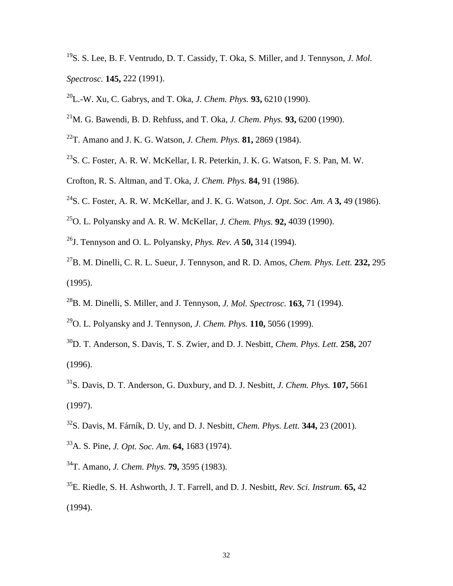- 19S. S. Lee, B. F. Ventrudo, D. T. Cassidy, T. Oka, S. Miller, and J. Tennyson, *J. Mol. Spectrosc.* **145,** 222 (1991).
- 20L.-W. Xu, C. Gabrys, and T. Oka, *J. Chem. Phys.* **93,** 6210 (1990).
- 21M. G. Bawendi, B. D. Rehfuss, and T. Oka, *J. Chem. Phys.* **93,** 6200 (1990).
- 22T. Amano and J. K. G. Watson, *J. Chem. Phys.* **81,** 2869 (1984).
- $^{23}$ S. C. Foster, A. R. W. McKellar, I. R. Peterkin, J. K. G. Watson, F. S. Pan, M. W.
- Crofton, R. S. Altman, and T. Oka, *J. Chem. Phys.* **84,** 91 (1986).
- 24S. C. Foster, A. R. W. McKellar, and J. K. G. Watson, *J. Opt. Soc. Am. A* **3,** 49 (1986).
- 25O. L. Polyansky and A. R. W. McKellar, *J. Chem. Phys.* **92,** 4039 (1990).
- 26J. Tennyson and O. L. Polyansky, *Phys. Rev. A* **50,** 314 (1994).
- 27B. M. Dinelli, C. R. L. Sueur, J. Tennyson, and R. D. Amos, *Chem. Phys. Lett.* **232,** 295 (1995).
- 28B. M. Dinelli, S. Miller, and J. Tennyson, *J. Mol. Spectrosc.* **163,** 71 (1994).
- 29O. L. Polyansky and J. Tennyson, *J. Chem. Phys.* **110,** 5056 (1999).
- 30D. T. Anderson, S. Davis, T. S. Zwier, and D. J. Nesbitt, *Chem. Phys. Lett.* **258,** 207 (1996).
- 31S. Davis, D. T. Anderson, G. Duxbury, and D. J. Nesbitt, *J. Chem. Phys.* **107,** 5661 (1997).
- 32S. Davis, M. Fárník, D. Uy, and D. J. Nesbitt, *Chem. Phys. Lett.* **344,** 23 (2001).
- 33A. S. Pine, *J. Opt. Soc. Am.* **64,** 1683 (1974).
- 34T. Amano, *J. Chem. Phys.* **79,** 3595 (1983).
- 35E. Riedle, S. H. Ashworth, J. T. Farrell, and D. J. Nesbitt, *Rev. Sci. Instrum.* **65,** 42 (1994).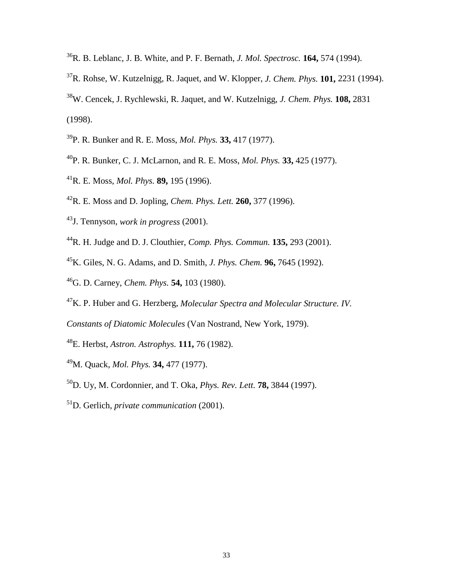- 36R. B. Leblanc, J. B. White, and P. F. Bernath, *J. Mol. Spectrosc.* **164,** 574 (1994).
- 37R. Rohse, W. Kutzelnigg, R. Jaquet, and W. Klopper, *J. Chem. Phys.* **101,** 2231 (1994).
- 38W. Cencek, J. Rychlewski, R. Jaquet, and W. Kutzelnigg, *J. Chem. Phys.* **108,** 2831 (1998).
- 39P. R. Bunker and R. E. Moss, *Mol. Phys.* **33,** 417 (1977).
- 40P. R. Bunker, C. J. McLarnon, and R. E. Moss, *Mol. Phys.* **33,** 425 (1977).
- 41R. E. Moss, *Mol. Phys.* **89,** 195 (1996).
- 42R. E. Moss and D. Jopling, *Chem. Phys. Lett.* **260,** 377 (1996).
- 43J. Tennyson, *work in progress* (2001).
- 44R. H. Judge and D. J. Clouthier, *Comp. Phys. Commun.* **135,** 293 (2001).
- 45K. Giles, N. G. Adams, and D. Smith, *J. Phys. Chem.* **96,** 7645 (1992).
- 46G. D. Carney, *Chem. Phys.* **54,** 103 (1980).
- 47K. P. Huber and G. Herzberg, *Molecular Spectra and Molecular Structure. IV.*
- *Constants of Diatomic Molecules* (Van Nostrand, New York, 1979).
- 48E. Herbst, *Astron. Astrophys.* **111,** 76 (1982).
- 49M. Quack, *Mol. Phys.* **34,** 477 (1977).
- 50D. Uy, M. Cordonnier, and T. Oka, *Phys. Rev. Lett.* **78,** 3844 (1997).
- 51D. Gerlich, *private communication* (2001).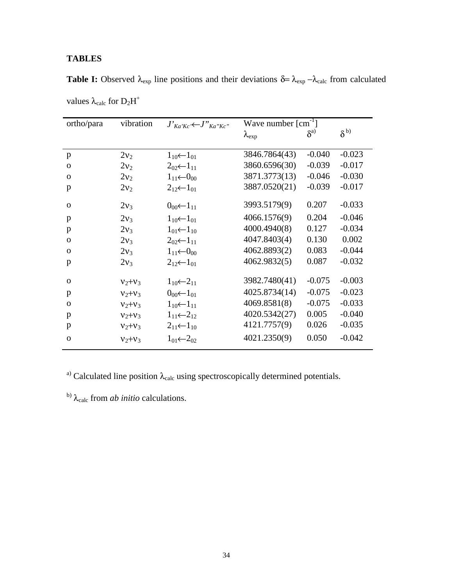### **TABLES**

| ortho/para   | vibration   | $J'_{Ka'Kc'} \leftarrow J''_{Ka''Kc''}$ | Wave number $\lceil$ cm <sup>-1</sup> $\rceil$ |               |                |
|--------------|-------------|-----------------------------------------|------------------------------------------------|---------------|----------------|
|              |             |                                         | $\lambda_{\rm exp}$                            | $\delta^{a)}$ | $\delta^{(b)}$ |
|              |             |                                         |                                                |               |                |
| p            | $2v_2$      | $1_{10}$ $\leftarrow$ $1_{01}$          | 3846.7864(43)                                  | $-0.040$      | $-0.023$       |
| $\mathbf{O}$ | $2v_2$      | $2_{02}(-1_{11})$                       | 3860.6596(30)                                  | $-0.039$      | $-0.017$       |
| $\mathbf{O}$ | $2v_2$      | $1_{11}$ $\leftarrow$ 0 <sub>00</sub>   | 3871.3773(13)                                  | $-0.046$      | $-0.030$       |
| p            | $2v_2$      | $2_{12}$ $\leftarrow$ $1_{01}$          | 3887.0520(21)                                  | $-0.039$      | $-0.017$       |
| $\mathbf{O}$ | $2v_3$      | $0_{00}$ $-1_{11}$                      | 3993.5179(9)                                   | 0.207         | $-0.033$       |
| p            | $2v_3$      | $1_{10} \leftarrow 1_{01}$              | 4066.1576(9)                                   | 0.204         | $-0.046$       |
| p            | $2v_3$      | $1_{01}$ $\leftarrow$ $1_{10}$          | 4000.4940(8)                                   | 0.127         | $-0.034$       |
| $\mathbf{O}$ | $2v_3$      | $2_{02}$ $\leftarrow$ 1 <sub>11</sub>   | 4047.8403(4)                                   | 0.130         | 0.002          |
| $\mathbf{O}$ | $2v_3$      | $1_{11}$ $\leftarrow$ 0 <sub>00</sub>   | 4062.8893(2)                                   | 0.083         | $-0.044$       |
| p            | $2v_3$      | $2_{12}$ $\leftarrow$ $1_{01}$          | 4062.9832(5)                                   | 0.087         | $-0.032$       |
| $\mathbf{O}$ | $V_2 + V_3$ | $1_{10}(-2_{11})$                       | 3982.7480(41)                                  | $-0.075$      | $-0.003$       |
| p            | $V_2 + V_3$ | $0_{00}$ $\leftarrow$ $1_{01}$          | 4025.8734(14)                                  | $-0.075$      | $-0.023$       |
| $\mathbf{O}$ | $V_2 + V_3$ | $1_{10}$ $-1_{11}$                      | 4069.8581(8)                                   | $-0.075$      | $-0.033$       |
|              |             |                                         | 4020.5342(27)                                  | 0.005         | $-0.040$       |
| p            | $V_2 + V_3$ | $1_{11}(-2_{12})$                       | 4121.7757(9)                                   | 0.026         | $-0.035$       |
| p            | $V_2 + V_3$ | $2_{11}$ $\leftarrow$ $1_{10}$          |                                                |               |                |
| $\mathbf{O}$ | $V2+V3$     | $1_{01} \leftarrow 2_{02}$              | 4021.2350(9)                                   | 0.050         | $-0.042$       |

**Table I:** Observed  $\lambda_{exp}$  line positions and their deviations  $\delta = \lambda_{exp} - \lambda_{calc}$  from calculated

values  $\lambda_{calc}$  for  $D_2H^+$ 

<sup>a)</sup> Calculated line position  $\lambda_{calc}$  using spectroscopically determined potentials.

b)  $λ_{calc}$  from *ab initio* calculations.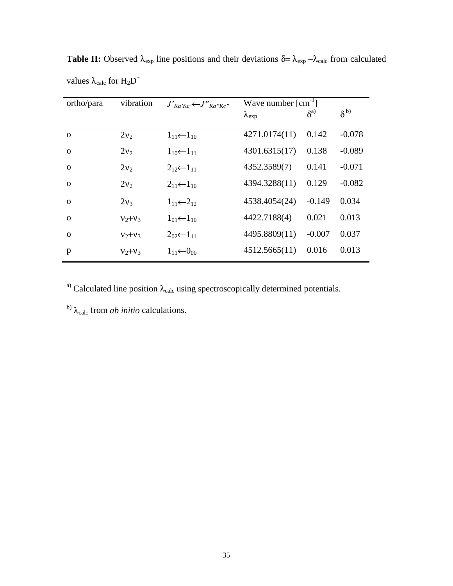| ortho/para  | vibration   | $J'_{Ka'Kc'} \leftarrow J''_{Ka''Kc''}$ | Wave number $\lceil$ cm <sup>-1</sup> $\rceil$ |               |                |
|-------------|-------------|-----------------------------------------|------------------------------------------------|---------------|----------------|
|             |             |                                         | $\lambda_{\rm exp}$                            | $\delta^{a)}$ | $\delta^{(b)}$ |
| $\Omega$    | $2v_2$      | $1_{11}$ $\leftarrow$ $1_{10}$          | 4271.0174(11)                                  | 0.142         | $-0.078$       |
| $\mathbf 0$ | $2v_2$      | $1_{10}(-1_{11})$                       | 4301.6315(17)                                  | 0.138         | $-0.089$       |
| $\Omega$    | $2v_2$      | $2_{12}(-1_{11})$                       | 4352.3589(7)                                   | 0.141         | $-0.071$       |
| $\Omega$    | $2v_2$      | $2_{11}$ $\leftarrow$ 1 <sub>10</sub>   | 4394.3288(11)                                  | 0.129         | $-0.082$       |
| $\Omega$    | $2v_3$      | $1_{11} \leftarrow 2_{12}$              | 4538.4054(24)                                  | $-0.149$      | 0.034          |
| $\Omega$    | $V_2 + V_3$ | $1_{01}$ $\leftarrow$ $1_{10}$          | 4422.7188(4)                                   | 0.021         | 0.013          |
| $\mathbf 0$ | $V_2 + V_3$ | $2_{02} \leftarrow 1_{11}$              | 4495.8809(11)                                  | $-0.007$      | 0.037          |
| p           | $V_2 + V_3$ | $1_{11} \leftarrow 0_{00}$              | 4512.5665(11)                                  | 0.016         | 0.013          |

**Table II:** Observed  $\lambda_{exp}$  line positions and their deviations  $\delta = \lambda_{exp} - \lambda_{calc}$  from calculated values  $\lambda_{calc}$  for  $H_2D^+$ 

a) Calculated line position  $λ_{calc}$  using spectroscopically determined potentials.

b) λ<sub>calc</sub> from *ab initio* calculations.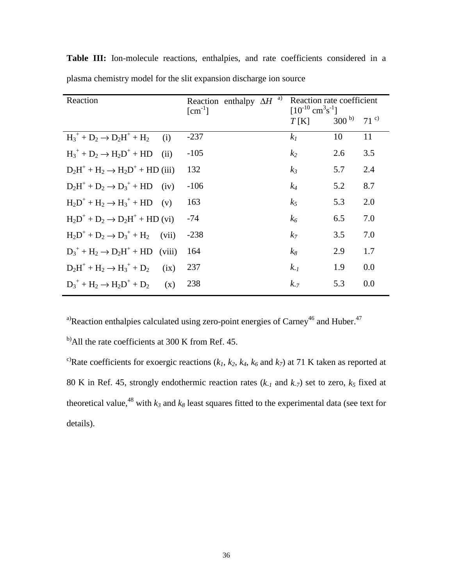| Reaction                                        | a)<br>Reaction enthalpy $\Delta H$<br>$\lceil$ cm <sup>-1</sup> $\rceil$ | Reaction rate coefficient<br>$[10^{-10}$ cm <sup>3</sup> s <sup>-1</sup> ] |           |              |
|-------------------------------------------------|--------------------------------------------------------------------------|----------------------------------------------------------------------------|-----------|--------------|
|                                                 |                                                                          | T[K]                                                                       | $300^{b}$ | $71^{\circ}$ |
| $H_3^+ + D_2 \rightarrow D_2H^+ + H_2$<br>(i)   | $-237$                                                                   | k <sub>I</sub>                                                             | 10        | 11           |
| $H_3^+$ + $D_2 \rightarrow H_2D^+$ + HD<br>(ii) | $-105$                                                                   | k <sub>2</sub>                                                             | 2.6       | 3.5          |
| $D_2H^+ + H_2 \rightarrow H_2D^+ + HD$ (iii)    | 132                                                                      | $k_3$                                                                      | 5.7       | 2.4          |
| $D_2H^+ + D_2 \rightarrow D_3^+ + HD$<br>(iv)   | $-106$                                                                   | $k_4$                                                                      | 5.2       | 8.7          |
| $H_2D^+ + H_2 \rightarrow H_3^+ + HD$<br>(v)    | 163                                                                      | k <sub>5</sub>                                                             | 5.3       | 2.0          |
| $H_2D^+ + D_2 \rightarrow D_2H^+ + HD$ (vi)     | $-74$                                                                    | $k_6$                                                                      | 6.5       | 7.0          |
| $H_2D^+ + D_2 \rightarrow D_3^+ + H_2$<br>(vii) | $-238$                                                                   | k <sub>7</sub>                                                             | 3.5       | 7.0          |
| $D_3^+ + H_2 \rightarrow D_2H^+ + HD$ (viii)    | 164                                                                      | $k_8$                                                                      | 2.9       | 1.7          |
| $D_2H^+ + H_2 \rightarrow H_3^+ + D_2$<br>(ix)  | 237                                                                      | $k_{-1}$                                                                   | 1.9       | 0.0          |
| $D_3^+ + H_2 \rightarrow H_2D^+ + D_2$<br>(x)   | 238                                                                      | $k_{-7}$                                                                   | 5.3       | 0.0          |

**Table III:** Ion-molecule reactions, enthalpies, and rate coefficients considered in a plasma chemistry model for the slit expansion discharge ion source

<sup>a)</sup>Reaction enthalpies calculated using zero-point energies of Carney<sup>46</sup> and Huber.<sup>47</sup>

<sup>b)</sup>All the rate coefficients at 300 K from Ref. 45.

<sup>c)</sup>Rate coefficients for exoergic reactions ( $k_1$ ,  $k_2$ ,  $k_4$ ,  $k_6$  and  $k_7$ ) at 71 K taken as reported at 80 K in Ref. 45, strongly endothermic reaction rates  $(k_1 \text{ and } k_2)$  set to zero,  $k_5$  fixed at theoretical value,<sup>48</sup> with  $k_3$  and  $k_8$  least squares fitted to the experimental data (see text for details).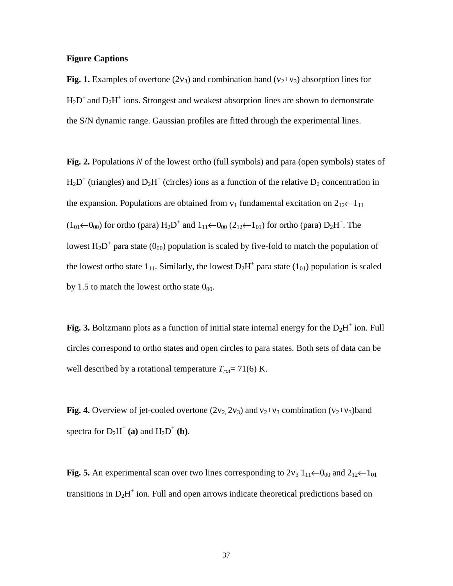### **Figure Captions**

**Fig. 1.** Examples of overtone (2 $v_3$ ) and combination band ( $v_2 + v_3$ ) absorption lines for  $H_2D^+$  and  $D_2H^+$  ions. Strongest and weakest absorption lines are shown to demonstrate the S/N dynamic range. Gaussian profiles are fitted through the experimental lines.

**Fig. 2.** Populations *N* of the lowest ortho (full symbols) and para (open symbols) states of  $H_2D^+$  (triangles) and  $D_2H^+$  (circles) ions as a function of the relative  $D_2$  concentration in the expansion. Populations are obtained from  $v_1$  fundamental excitation on  $2_{12} \leftarrow 1_{11}$  $(1_{01}$  ←  $0_{00})$  for ortho (para)  $H_2D^+$  and  $1_{11}$  ←  $0_{00}$  ( $2_{12}$  ←  $1_{01}$ ) for ortho (para)  $D_2H^+$ . The lowest  $H_2D^+$  para state  $(0_{00})$  population is scaled by five-fold to match the population of the lowest ortho state  $1_{11}$ . Similarly, the lowest  $D_2H^+$  para state  $(1_{01})$  population is scaled by 1.5 to match the lowest ortho state  $0_{00}$ .

Fig. 3. Boltzmann plots as a function of initial state internal energy for the  $D_2H^+$  ion. Full circles correspond to ortho states and open circles to para states. Both sets of data can be well described by a rotational temperature  $T_{rot}$ = 71(6) K.

**Fig. 4.** Overview of jet-cooled overtone  $(2v_2, 2v_3)$  and  $v_2 + v_3$  combination  $(v_2 + v_3)$ band spectra for  $D_2H^+$  (a) and  $H_2D^+$  (b).

**Fig. 5.** An experimental scan over two lines corresponding to  $2v_3 1_{11} \leftarrow 0_{00}$  and  $2_{12} \leftarrow 1_{01}$ transitions in  $D_2H^+$  ion. Full and open arrows indicate theoretical predictions based on